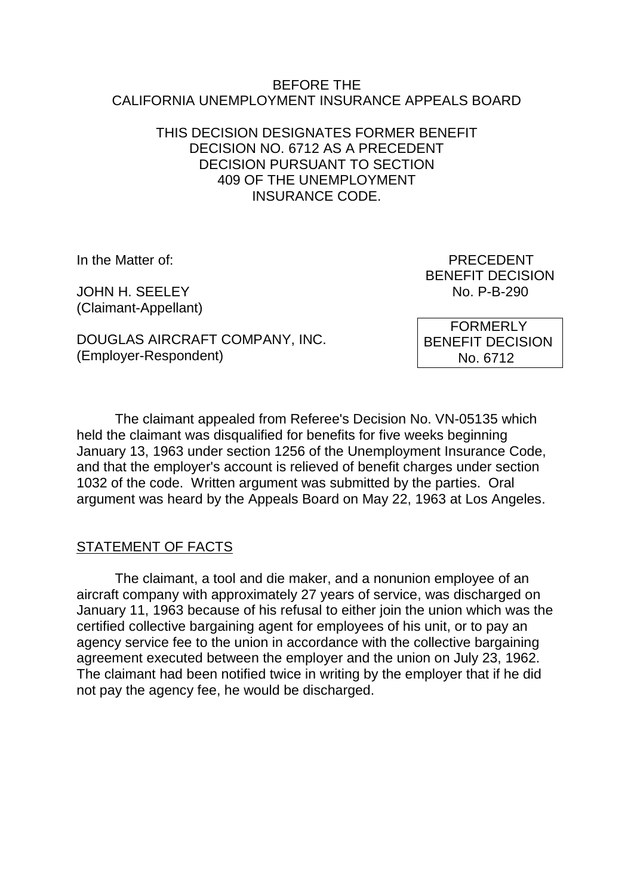#### BEFORE THE CALIFORNIA UNEMPLOYMENT INSURANCE APPEALS BOARD

## THIS DECISION DESIGNATES FORMER BENEFIT DECISION NO. 6712 AS A PRECEDENT DECISION PURSUANT TO SECTION 409 OF THE UNEMPLOYMENT INSURANCE CODE.

JOHN H. SEELEY NO. P-B-290 (Claimant-Appellant)

In the Matter of: PRECEDENT BENEFIT DECISION

DOUGLAS AIRCRAFT COMPANY, INC. (Employer-Respondent)

 FORMERLY BENEFIT DECISION No. 6712

The claimant appealed from Referee's Decision No. VN-05135 which held the claimant was disqualified for benefits for five weeks beginning January 13, 1963 under section 1256 of the Unemployment Insurance Code, and that the employer's account is relieved of benefit charges under section 1032 of the code. Written argument was submitted by the parties. Oral argument was heard by the Appeals Board on May 22, 1963 at Los Angeles.

## STATEMENT OF FACTS

The claimant, a tool and die maker, and a nonunion employee of an aircraft company with approximately 27 years of service, was discharged on January 11, 1963 because of his refusal to either join the union which was the certified collective bargaining agent for employees of his unit, or to pay an agency service fee to the union in accordance with the collective bargaining agreement executed between the employer and the union on July 23, 1962. The claimant had been notified twice in writing by the employer that if he did not pay the agency fee, he would be discharged.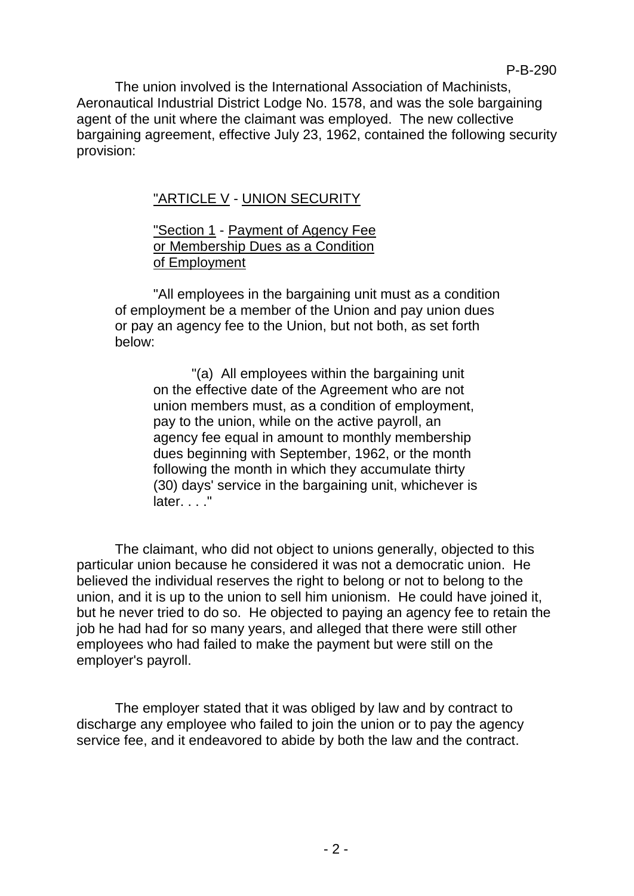The union involved is the International Association of Machinists, Aeronautical Industrial District Lodge No. 1578, and was the sole bargaining agent of the unit where the claimant was employed. The new collective bargaining agreement, effective July 23, 1962, contained the following security provision:

# "ARTICLE V - UNION SECURITY

## "Section 1 - Payment of Agency Fee or Membership Dues as a Condition of Employment

"All employees in the bargaining unit must as a condition of employment be a member of the Union and pay union dues or pay an agency fee to the Union, but not both, as set forth below:

"(a) All employees within the bargaining unit on the effective date of the Agreement who are not union members must, as a condition of employment, pay to the union, while on the active payroll, an agency fee equal in amount to monthly membership dues beginning with September, 1962, or the month following the month in which they accumulate thirty (30) days' service in the bargaining unit, whichever is later. . . ."

The claimant, who did not object to unions generally, objected to this particular union because he considered it was not a democratic union. He believed the individual reserves the right to belong or not to belong to the union, and it is up to the union to sell him unionism. He could have joined it, but he never tried to do so. He objected to paying an agency fee to retain the job he had had for so many years, and alleged that there were still other employees who had failed to make the payment but were still on the employer's payroll.

The employer stated that it was obliged by law and by contract to discharge any employee who failed to join the union or to pay the agency service fee, and it endeavored to abide by both the law and the contract.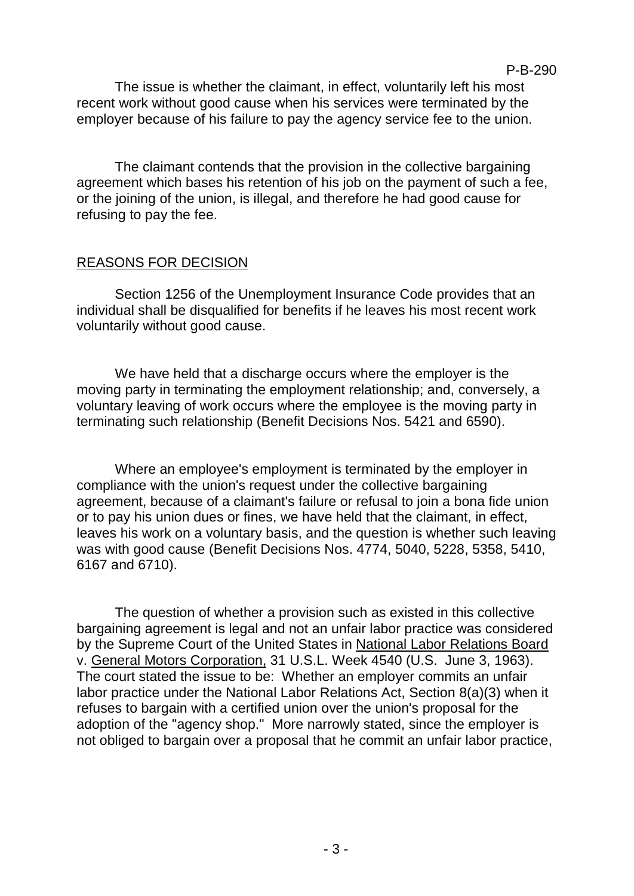The issue is whether the claimant, in effect, voluntarily left his most recent work without good cause when his services were terminated by the employer because of his failure to pay the agency service fee to the union.

P-B-290

The claimant contends that the provision in the collective bargaining agreement which bases his retention of his job on the payment of such a fee, or the joining of the union, is illegal, and therefore he had good cause for refusing to pay the fee.

### REASONS FOR DECISION

Section 1256 of the Unemployment Insurance Code provides that an individual shall be disqualified for benefits if he leaves his most recent work voluntarily without good cause.

We have held that a discharge occurs where the employer is the moving party in terminating the employment relationship; and, conversely, a voluntary leaving of work occurs where the employee is the moving party in terminating such relationship (Benefit Decisions Nos. 5421 and 6590).

Where an employee's employment is terminated by the employer in compliance with the union's request under the collective bargaining agreement, because of a claimant's failure or refusal to join a bona fide union or to pay his union dues or fines, we have held that the claimant, in effect, leaves his work on a voluntary basis, and the question is whether such leaving was with good cause (Benefit Decisions Nos. 4774, 5040, 5228, 5358, 5410, 6167 and 6710).

The question of whether a provision such as existed in this collective bargaining agreement is legal and not an unfair labor practice was considered by the Supreme Court of the United States in National Labor Relations Board v. General Motors Corporation, 31 U.S.L. Week 4540 (U.S. June 3, 1963). The court stated the issue to be: Whether an employer commits an unfair labor practice under the National Labor Relations Act, Section 8(a)(3) when it refuses to bargain with a certified union over the union's proposal for the adoption of the "agency shop." More narrowly stated, since the employer is not obliged to bargain over a proposal that he commit an unfair labor practice,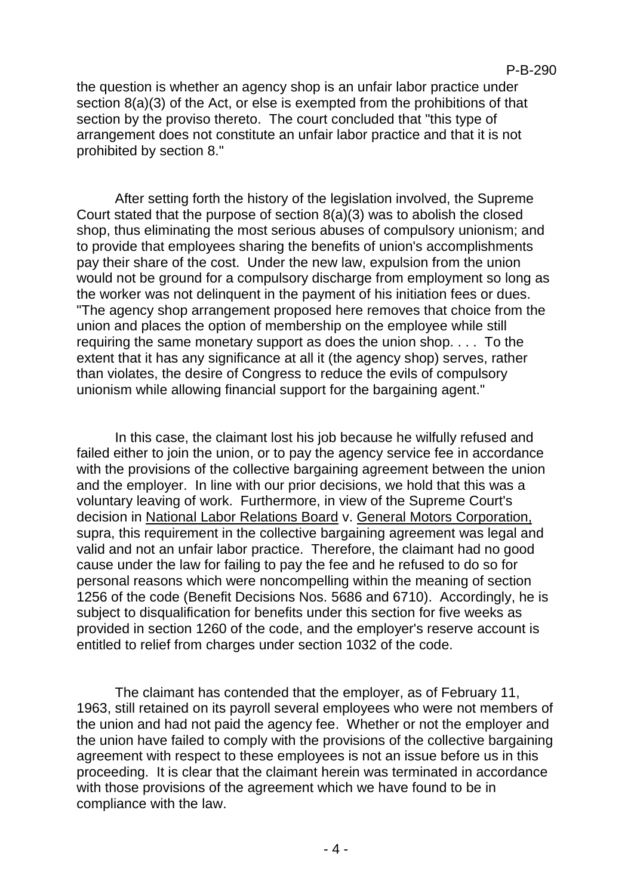the question is whether an agency shop is an unfair labor practice under section 8(a)(3) of the Act, or else is exempted from the prohibitions of that section by the proviso thereto. The court concluded that "this type of arrangement does not constitute an unfair labor practice and that it is not prohibited by section 8."

After setting forth the history of the legislation involved, the Supreme Court stated that the purpose of section 8(a)(3) was to abolish the closed shop, thus eliminating the most serious abuses of compulsory unionism; and to provide that employees sharing the benefits of union's accomplishments pay their share of the cost. Under the new law, expulsion from the union would not be ground for a compulsory discharge from employment so long as the worker was not delinquent in the payment of his initiation fees or dues. "The agency shop arrangement proposed here removes that choice from the union and places the option of membership on the employee while still requiring the same monetary support as does the union shop. . . . To the extent that it has any significance at all it (the agency shop) serves, rather than violates, the desire of Congress to reduce the evils of compulsory unionism while allowing financial support for the bargaining agent."

In this case, the claimant lost his job because he wilfully refused and failed either to join the union, or to pay the agency service fee in accordance with the provisions of the collective bargaining agreement between the union and the employer. In line with our prior decisions, we hold that this was a voluntary leaving of work. Furthermore, in view of the Supreme Court's decision in National Labor Relations Board v. General Motors Corporation, supra, this requirement in the collective bargaining agreement was legal and valid and not an unfair labor practice. Therefore, the claimant had no good cause under the law for failing to pay the fee and he refused to do so for personal reasons which were noncompelling within the meaning of section 1256 of the code (Benefit Decisions Nos. 5686 and 6710). Accordingly, he is subject to disqualification for benefits under this section for five weeks as provided in section 1260 of the code, and the employer's reserve account is entitled to relief from charges under section 1032 of the code.

The claimant has contended that the employer, as of February 11, 1963, still retained on its payroll several employees who were not members of the union and had not paid the agency fee. Whether or not the employer and the union have failed to comply with the provisions of the collective bargaining agreement with respect to these employees is not an issue before us in this proceeding. It is clear that the claimant herein was terminated in accordance with those provisions of the agreement which we have found to be in compliance with the law.